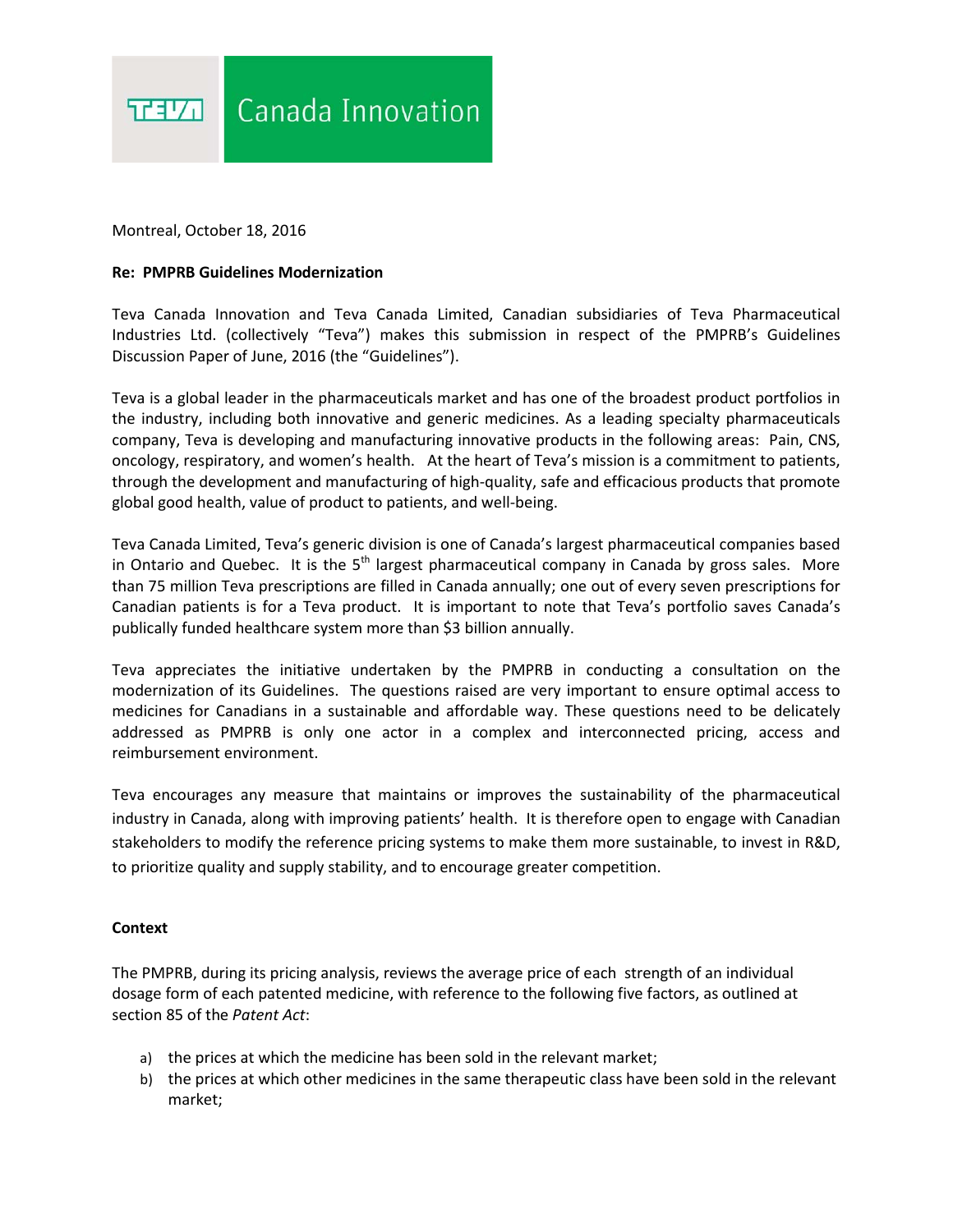

Montreal, October 18, 2016

## **Re: PMPRB Guidelines Modernization**

Teva Canada Innovation and Teva Canada Limited, Canadian subsidiaries of Teva Pharmaceutical Industries Ltd. (collectively "Teva") makes this submission in respect of the PMPRB's Guidelines Discussion Paper of June, 2016 (the "Guidelines").

Teva is a global leader in the pharmaceuticals market and has one of the broadest product portfolios in the industry, including both innovative and generic medicines. As a leading specialty pharmaceuticals company, Teva is developing and manufacturing innovative products in the following areas: Pain, CNS, oncology, respiratory, and women's health. At the heart of Teva's mission is a commitment to patients, through the development and manufacturing of high-quality, safe and efficacious products that promote global good health, value of product to patients, and well-being.

Teva Canada Limited, Teva's generic division is one of Canada's largest pharmaceutical companies based in Ontario and Quebec. It is the  $5<sup>th</sup>$  largest pharmaceutical company in Canada by gross sales. More than 75 million Teva prescriptions are filled in Canada annually; one out of every seven prescriptions for Canadian patients is for a Teva product. It is important to note that Teva's portfolio saves Canada's publically funded healthcare system more than \$3 billion annually.

Teva appreciates the initiative undertaken by the PMPRB in conducting a consultation on the modernization of its Guidelines. The questions raised are very important to ensure optimal access to medicines for Canadians in a sustainable and affordable way. These questions need to be delicately addressed as PMPRB is only one actor in a complex and interconnected pricing, access and reimbursement environment.

Teva encourages any measure that maintains or improves the sustainability of the pharmaceutical industry in Canada, along with improving patients' health. It is therefore open to engage with Canadian stakeholders to modify the reference pricing systems to make them more sustainable, to invest in R&D, to prioritize quality and supply stability, and to encourage greater competition.

## **Context**

The PMPRB, during its pricing analysis, reviews the average price of each strength of an individual dosage form of each patented medicine, with reference to the following five factors, as outlined at section 85 of the *Patent Act*:

- a) the prices at which the medicine has been sold in the relevant market;
- b) the prices at which other medicines in the same therapeutic class have been sold in the relevant market;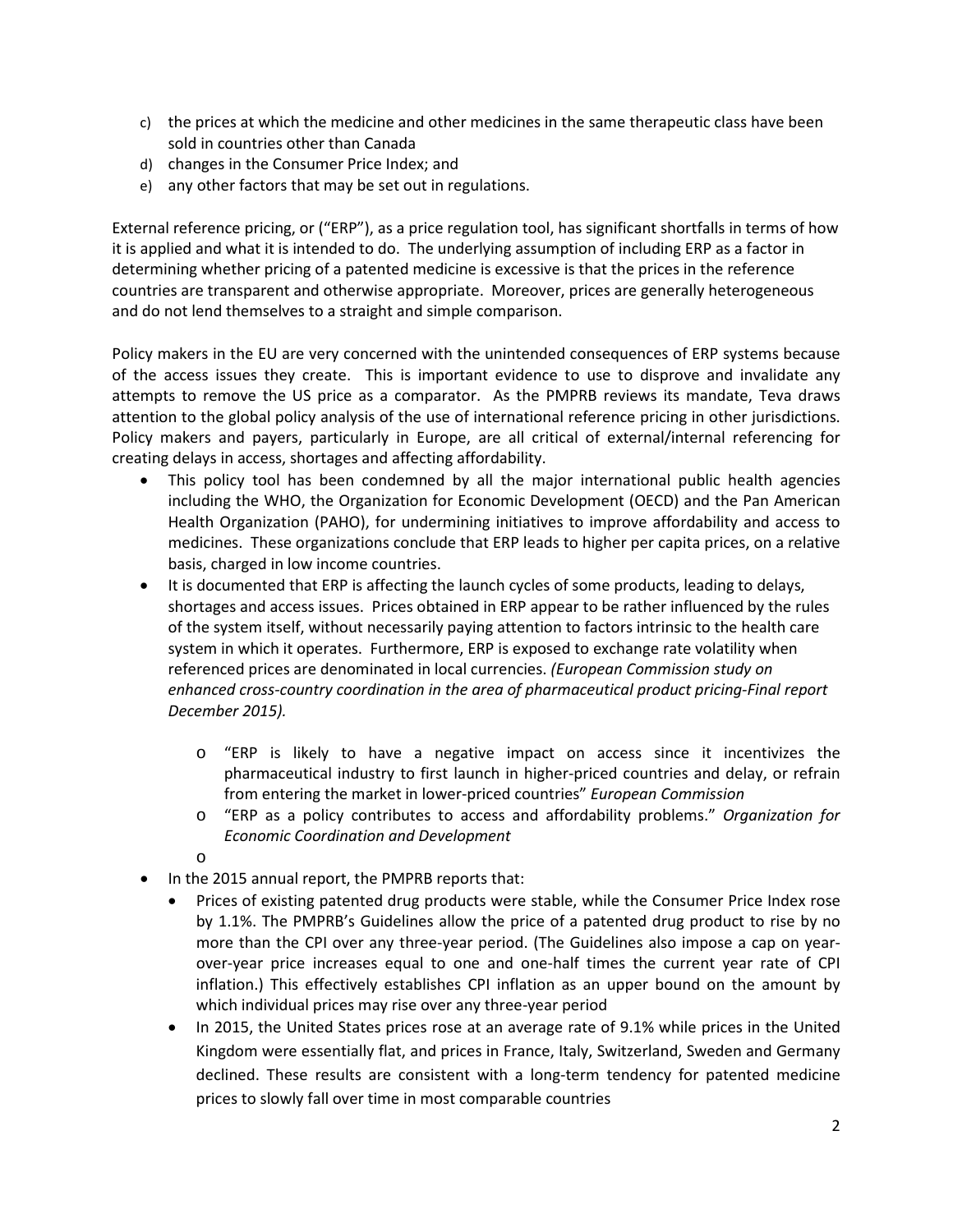- c) the prices at which the medicine and other medicines in the same therapeutic class have been sold in countries other than Canada
- d) changes in the Consumer Price Index; and
- e) any other factors that may be set out in regulations.

External reference pricing, or ("ERP"), as a price regulation tool, has significant shortfalls in terms of how it is applied and what it is intended to do. The underlying assumption of including ERP as a factor in determining whether pricing of a patented medicine is excessive is that the prices in the reference countries are transparent and otherwise appropriate. Moreover, prices are generally heterogeneous and do not lend themselves to a straight and simple comparison.

Policy makers in the EU are very concerned with the unintended consequences of ERP systems because of the access issues they create. This is important evidence to use to disprove and invalidate any attempts to remove the US price as a comparator. As the PMPRB reviews its mandate, Teva draws attention to the global policy analysis of the use of international reference pricing in other jurisdictions. Policy makers and payers, particularly in Europe, are all critical of external/internal referencing for creating delays in access, shortages and affecting affordability.

- This policy tool has been condemned by all the major international public health agencies including the WHO, the Organization for Economic Development (OECD) and the Pan American Health Organization (PAHO), for undermining initiatives to improve affordability and access to medicines. These organizations conclude that ERP leads to higher per capita prices, on a relative basis, charged in low income countries.
- It is documented that ERP is affecting the launch cycles of some products, leading to delays, shortages and access issues. Prices obtained in ERP appear to be rather influenced by the rules of the system itself, without necessarily paying attention to factors intrinsic to the health care system in which it operates. Furthermore, ERP is exposed to exchange rate volatility when referenced prices are denominated in local currencies. *(European Commission study on enhanced cross-country coordination in the area of pharmaceutical product pricing-Final report December 2015).*
	- o "ERP is likely to have a negative impact on access since it incentivizes the pharmaceutical industry to first launch in higher-priced countries and delay, or refrain from entering the market in lower-priced countries" *European Commission*
	- o "ERP as a policy contributes to access and affordability problems." *Organization for Economic Coordination and Development*

o

- In the 2015 annual report, the PMPRB reports that:
	- Prices of existing patented drug products were stable, while the Consumer Price Index rose by 1.1%. The PMPRB's Guidelines allow the price of a patented drug product to rise by no more than the CPI over any three-year period. (The Guidelines also impose a cap on yearover-year price increases equal to one and one-half times the current year rate of CPI inflation.) This effectively establishes CPI inflation as an upper bound on the amount by which individual prices may rise over any three-year period
	- In 2015, the United States prices rose at an average rate of 9.1% while prices in the United Kingdom were essentially flat, and prices in France, Italy, Switzerland, Sweden and Germany declined. These results are consistent with a long-term tendency for patented medicine prices to slowly fall over time in most comparable countries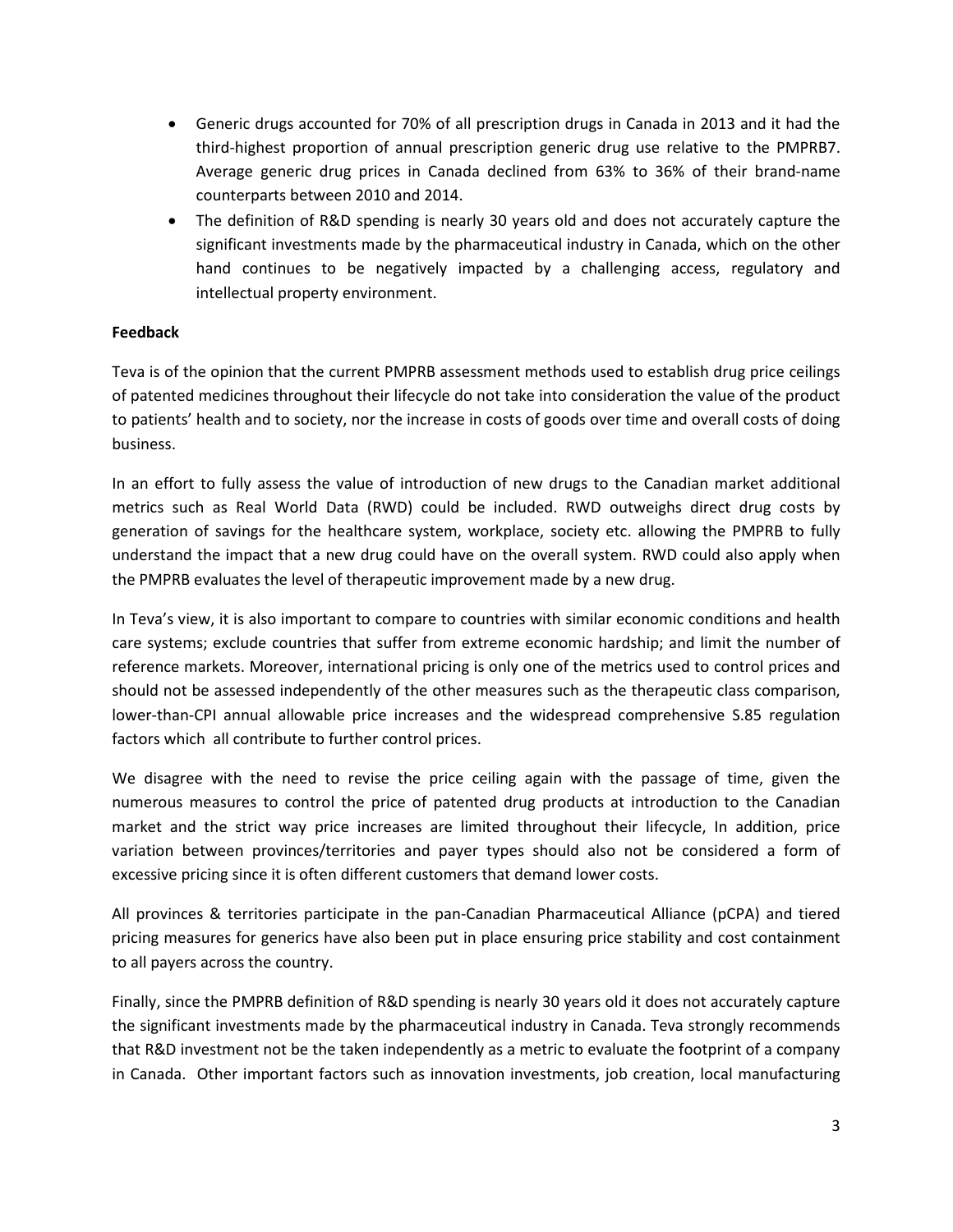- Generic drugs accounted for 70% of all prescription drugs in Canada in 2013 and it had the third-highest proportion of annual prescription generic drug use relative to the PMPRB7. Average generic drug prices in Canada declined from 63% to 36% of their brand-name counterparts between 2010 and 2014.
- The definition of R&D spending is nearly 30 years old and does not accurately capture the significant investments made by the pharmaceutical industry in Canada, which on the other hand continues to be negatively impacted by a challenging access, regulatory and intellectual property environment.

## **Feedback**

Teva is of the opinion that the current PMPRB assessment methods used to establish drug price ceilings of patented medicines throughout their lifecycle do not take into consideration the value of the product to patients' health and to society, nor the increase in costs of goods over time and overall costs of doing business.

In an effort to fully assess the value of introduction of new drugs to the Canadian market additional metrics such as Real World Data (RWD) could be included. RWD outweighs direct drug costs by generation of savings for the healthcare system, workplace, society etc. allowing the PMPRB to fully understand the impact that a new drug could have on the overall system. RWD could also apply when the PMPRB evaluates the level of therapeutic improvement made by a new drug.

In Teva's view, it is also important to compare to countries with similar economic conditions and health care systems; exclude countries that suffer from extreme economic hardship; and limit the number of reference markets. Moreover, international pricing is only one of the metrics used to control prices and should not be assessed independently of the other measures such as the therapeutic class comparison, lower-than-CPI annual allowable price increases and the widespread comprehensive S.85 regulation factors which all contribute to further control prices.

We disagree with the need to revise the price ceiling again with the passage of time, given the numerous measures to control the price of patented drug products at introduction to the Canadian market and the strict way price increases are limited throughout their lifecycle, In addition, price variation between provinces/territories and payer types should also not be considered a form of excessive pricing since it is often different customers that demand lower costs.

All provinces & territories participate in the pan-Canadian Pharmaceutical Alliance (pCPA) and tiered pricing measures for generics have also been put in place ensuring price stability and cost containment to all payers across the country.

Finally, since the PMPRB definition of R&D spending is nearly 30 years old it does not accurately capture the significant investments made by the pharmaceutical industry in Canada. Teva strongly recommends that R&D investment not be the taken independently as a metric to evaluate the footprint of a company in Canada. Other important factors such as innovation investments, job creation, local manufacturing